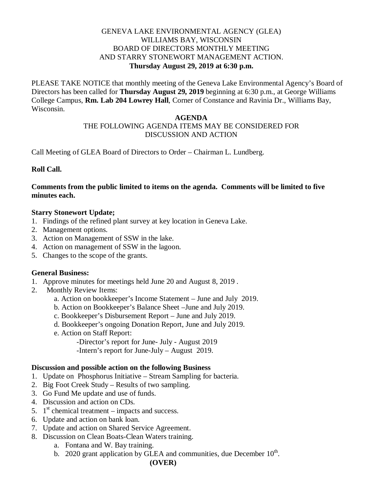### GENEVA LAKE ENVIRONMENTAL AGENCY (GLEA) WILLIAMS BAY, WISCONSIN BOARD OF DIRECTORS MONTHLY MEETING AND STARRY STONEWORT MANAGEMENT ACTION. **Thursday August 29, 2019 at 6:30 p.m.**

PLEASE TAKE NOTICE that monthly meeting of the Geneva Lake Environmental Agency's Board of Directors has been called for **Thursday August 29, 2019** beginning at 6:30 p.m., at George Williams College Campus, **Rm. Lab 204 Lowrey Hall**, Corner of Constance and Ravinia Dr., Williams Bay, Wisconsin.

#### **AGENDA**

# THE FOLLOWING AGENDA ITEMS MAY BE CONSIDERED FOR DISCUSSION AND ACTION

Call Meeting of GLEA Board of Directors to Order – Chairman L. Lundberg.

**Roll Call.**

#### **Comments from the public limited to items on the agenda. Comments will be limited to five minutes each.**

### **Starry Stonewort Update;**

- 1. Findings of the refined plant survey at key location in Geneva Lake.
- 2. Management options.
- 3. Action on Management of SSW in the lake.
- 4. Action on management of SSW in the lagoon.
- 5. Changes to the scope of the grants.

# **General Business:**

- 1. Approve minutes for meetings held June 20 and August 8, 2019 .
- 2. Monthly Review Items:
	- a. Action on bookkeeper's Income Statement June and July 2019.
	- b. Action on Bookkeeper's Balance Sheet –June and July 2019.
	- c. Bookkeeper's Disbursement Report June and July 2019.
	- d. Bookkeeper's ongoing Donation Report, June and July 2019.
	- e. Action on Staff Report:

-Director's report for June- July - August 2019

-Intern's report for June-July – August 2019.

### **Discussion and possible action on the following Business**

- 1. Update on Phosphorus Initiative Stream Sampling for bacteria.
- 2. Big Foot Creek Study Results of two sampling.
- 3. Go Fund Me update and use of funds.
- 4. Discussion and action on CDs.
- 5.  $1<sup>st</sup>$  chemical treatment impacts and success.
- 6. Update and action on bank loan.
- 7. Update and action on Shared Service Agreement.
- 8. Discussion on Clean Boats-Clean Waters training.
	- a. Fontana and W. Bay training.
	- b. 2020 grant application by GLEA and communities, due December  $10<sup>th</sup>$ .

#### **(OVER)**